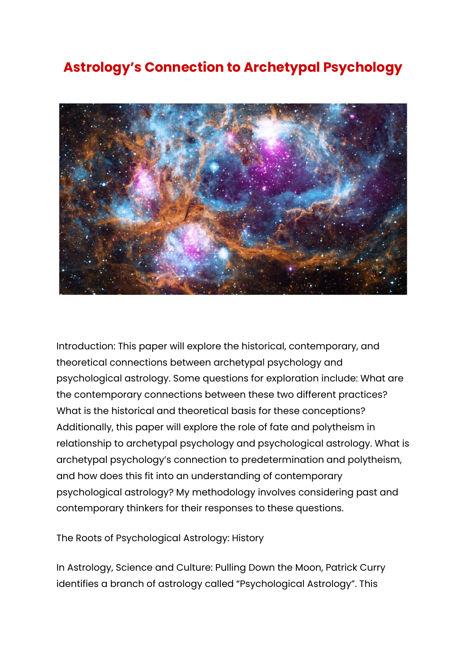## **Astrology's Connection to Archetypal Psychology**



Introduction: This paper will explore the historical, contemporary, and theoretical connections between archetypal psychology and psychological astrology. Some questions for exploration include: What are the contemporary connections between these two different practices? What is the historical and theoretical basis for these conceptions? Additionally, this paper will explore the role of fate and polytheism in relationship to archetypal psychology and psychological astrology. What is archetypal psychology's connection to predetermination and polytheism, and how does this fit into an understanding of contemporary psychological astrology? My methodology involves considering past and contemporary thinkers for their responses to these questions.

The Roots of Psychological Astrology: History

In Astrology, Science and Culture: Pulling Down the Moon, Patrick Curry identifies a branch of astrology called "Psychological Astrology". This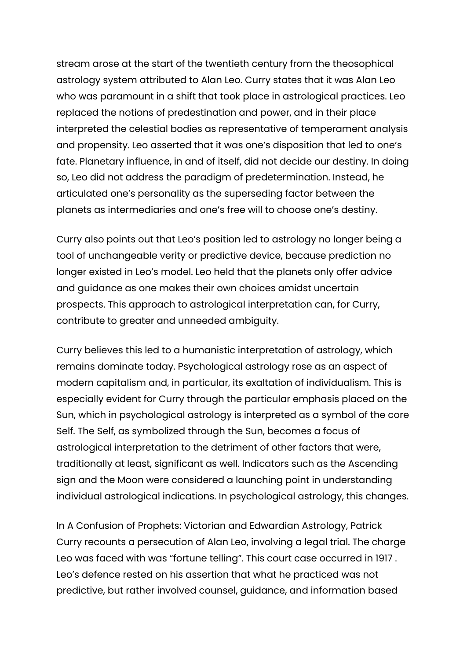stream arose at the start of the twentieth century from the theosophical astrology system attributed to Alan Leo. Curry states that it was Alan Leo who was paramount in a shift that took place in astrological practices. Leo replaced the notions of predestination and power, and in their place interpreted the celestial bodies as representative of temperament analysis and propensity. Leo asserted that it was one's disposition that led to one's fate. Planetary influence, in and of itself, did not decide our destiny. In doing so, Leo did not address the paradigm of predetermination. Instead, he articulated one's personality as the superseding factor between the planets as intermediaries and one's free will to choose one's destiny.

Curry also points out that Leo's position led to astrology no longer being a tool of unchangeable verity or predictive device, because prediction no longer existed in Leo's model. Leo held that the planets only offer advice and guidance as one makes their own choices amidst uncertain prospects. This approach to astrological interpretation can, for Curry, contribute to greater and unneeded ambiguity.

Curry believes this led to a humanistic interpretation of astrology, which remains dominate today. Psychological astrology rose as an aspect of modern capitalism and, in particular, its exaltation of individualism. This is especially evident for Curry through the particular emphasis placed on the Sun, which in psychological astrology is interpreted as a symbol of the core Self. The Self, as symbolized through the Sun, becomes a focus of astrological interpretation to the detriment of other factors that were, traditionally at least, significant as well. Indicators such as the Ascending sign and the Moon were considered a launching point in understanding individual astrological indications. In psychological astrology, this changes.

In A Confusion of Prophets: Victorian and Edwardian Astrology, Patrick Curry recounts a persecution of Alan Leo, involving a legal trial. The charge Leo was faced with was "fortune telling". This court case occurred in 1917 . Leo's defence rested on his assertion that what he practiced was not predictive, but rather involved counsel, guidance, and information based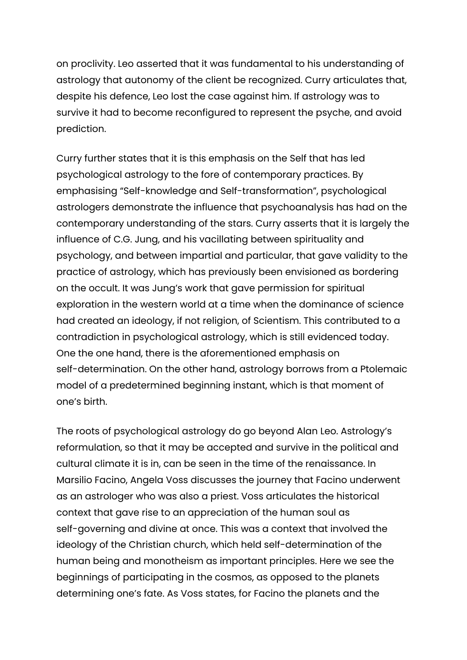on proclivity. Leo asserted that it was fundamental to his understanding of astrology that autonomy of the client be recognized. Curry articulates that, despite his defence, Leo lost the case against him. If astrology was to survive it had to become reconfigured to represent the psyche, and avoid prediction.

Curry further states that it is this emphasis on the Self that has led psychological astrology to the fore of contemporary practices. By emphasising "Self-knowledge and Self-transformation", psychological astrologers demonstrate the influence that psychoanalysis has had on the contemporary understanding of the stars. Curry asserts that it is largely the influence of C.G. Jung, and his vacillating between spirituality and psychology, and between impartial and particular, that gave validity to the practice of astrology, which has previously been envisioned as bordering on the occult. It was Jung's work that gave permission for spiritual exploration in the western world at a time when the dominance of science had created an ideology, if not religion, of Scientism. This contributed to a contradiction in psychological astrology, which is still evidenced today. One the one hand, there is the aforementioned emphasis on self-determination. On the other hand, astrology borrows from a Ptolemaic model of a predetermined beginning instant, which is that moment of one's birth.

The roots of psychological astrology do go beyond Alan Leo. Astrology's reformulation, so that it may be accepted and survive in the political and cultural climate it is in, can be seen in the time of the renaissance. In Marsilio Facino, Angela Voss discusses the journey that Facino underwent as an astrologer who was also a priest. Voss articulates the historical context that gave rise to an appreciation of the human soul as self-governing and divine at once. This was a context that involved the ideology of the Christian church, which held self-determination of the human being and monotheism as important principles. Here we see the beginnings of participating in the cosmos, as opposed to the planets determining one's fate. As Voss states, for Facino the planets and the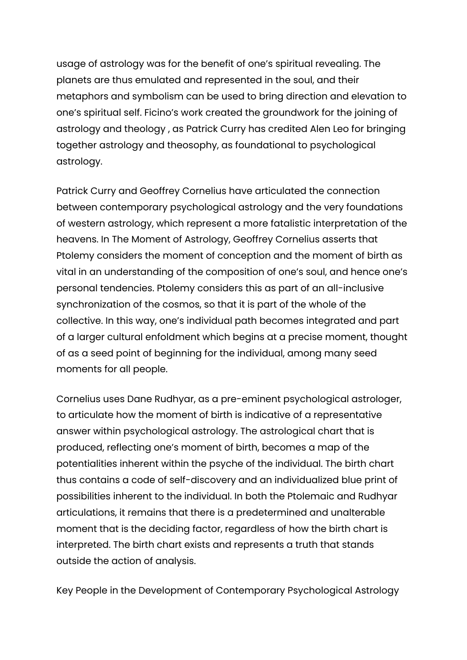usage of astrology was for the benefit of one's spiritual revealing. The planets are thus emulated and represented in the soul, and their metaphors and symbolism can be used to bring direction and elevation to one's spiritual self. Ficino's work created the groundwork for the joining of astrology and theology , as Patrick Curry has credited Alen Leo for bringing together astrology and theosophy, as foundational to psychological astrology.

Patrick Curry and Geoffrey Cornelius have articulated the connection between contemporary psychological astrology and the very foundations of western astrology, which represent a more fatalistic interpretation of the heavens. In The Moment of Astrology, Geoffrey Cornelius asserts that Ptolemy considers the moment of conception and the moment of birth as vital in an understanding of the composition of one's soul, and hence one's personal tendencies. Ptolemy considers this as part of an all-inclusive synchronization of the cosmos, so that it is part of the whole of the collective. In this way, one's individual path becomes integrated and part of a larger cultural enfoldment which begins at a precise moment, thought of as a seed point of beginning for the individual, among many seed moments for all people.

Cornelius uses Dane Rudhyar, as a pre-eminent psychological astrologer, to articulate how the moment of birth is indicative of a representative answer within psychological astrology. The astrological chart that is produced, reflecting one's moment of birth, becomes a map of the potentialities inherent within the psyche of the individual. The birth chart thus contains a code of self-discovery and an individualized blue print of possibilities inherent to the individual. In both the Ptolemaic and Rudhyar articulations, it remains that there is a predetermined and unalterable moment that is the deciding factor, regardless of how the birth chart is interpreted. The birth chart exists and represents a truth that stands outside the action of analysis.

Key People in the Development of Contemporary Psychological Astrology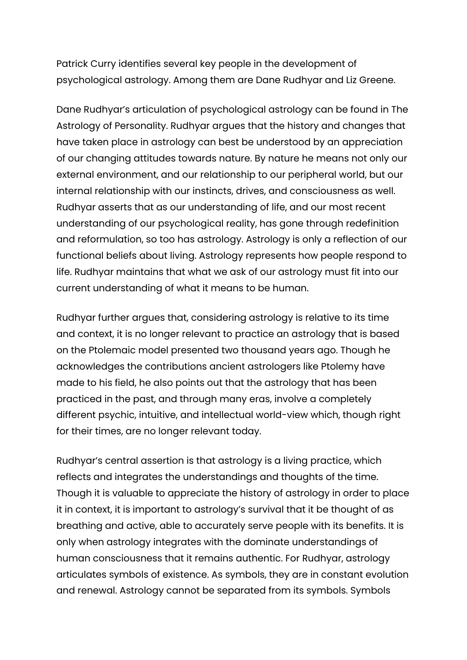Patrick Curry identifies several key people in the development of psychological astrology. Among them are Dane Rudhyar and Liz Greene.

Dane Rudhyar's articulation of psychological astrology can be found in The Astrology of Personality. Rudhyar argues that the history and changes that have taken place in astrology can best be understood by an appreciation of our changing attitudes towards nature. By nature he means not only our external environment, and our relationship to our peripheral world, but our internal relationship with our instincts, drives, and consciousness as well. Rudhyar asserts that as our understanding of life, and our most recent understanding of our psychological reality, has gone through redefinition and reformulation, so too has astrology. Astrology is only a reflection of our functional beliefs about living. Astrology represents how people respond to life. Rudhyar maintains that what we ask of our astrology must fit into our current understanding of what it means to be human.

Rudhyar further argues that, considering astrology is relative to its time and context, it is no longer relevant to practice an astrology that is based on the Ptolemaic model presented two thousand years ago. Though he acknowledges the contributions ancient astrologers like Ptolemy have made to his field, he also points out that the astrology that has been practiced in the past, and through many eras, involve a completely different psychic, intuitive, and intellectual world-view which, though right for their times, are no longer relevant today.

Rudhyar's central assertion is that astrology is a living practice, which reflects and integrates the understandings and thoughts of the time. Though it is valuable to appreciate the history of astrology in order to place it in context, it is important to astrology's survival that it be thought of as breathing and active, able to accurately serve people with its benefits. It is only when astrology integrates with the dominate understandings of human consciousness that it remains authentic. For Rudhyar, astrology articulates symbols of existence. As symbols, they are in constant evolution and renewal. Astrology cannot be separated from its symbols. Symbols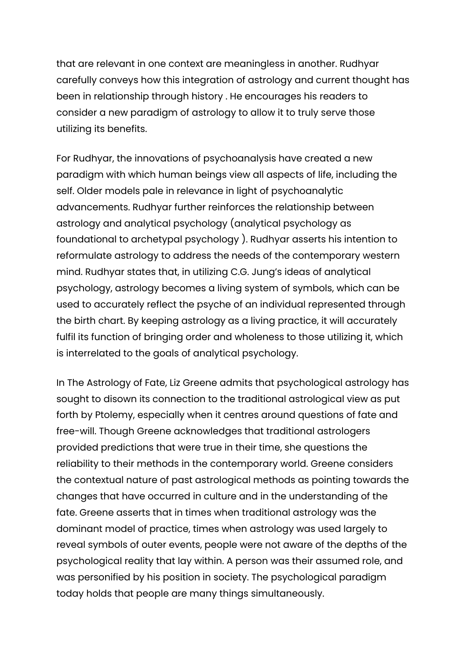that are relevant in one context are meaningless in another. Rudhyar carefully conveys how this integration of astrology and current thought has been in relationship through history . He encourages his readers to consider a new paradigm of astrology to allow it to truly serve those utilizing its benefits.

For Rudhyar, the innovations of psychoanalysis have created a new paradigm with which human beings view all aspects of life, including the self. Older models pale in relevance in light of psychoanalytic advancements. Rudhyar further reinforces the relationship between astrology and analytical psychology (analytical psychology as foundational to archetypal psychology ). Rudhyar asserts his intention to reformulate astrology to address the needs of the contemporary western mind. Rudhyar states that, in utilizing C.G. Jung's ideas of analytical psychology, astrology becomes a living system of symbols, which can be used to accurately reflect the psyche of an individual represented through the birth chart. By keeping astrology as a living practice, it will accurately fulfil its function of bringing order and wholeness to those utilizing it, which is interrelated to the goals of analytical psychology.

In The Astrology of Fate, Liz Greene admits that psychological astrology has sought to disown its connection to the traditional astrological view as put forth by Ptolemy, especially when it centres around questions of fate and free-will. Though Greene acknowledges that traditional astrologers provided predictions that were true in their time, she questions the reliability to their methods in the contemporary world. Greene considers the contextual nature of past astrological methods as pointing towards the changes that have occurred in culture and in the understanding of the fate. Greene asserts that in times when traditional astrology was the dominant model of practice, times when astrology was used largely to reveal symbols of outer events, people were not aware of the depths of the psychological reality that lay within. A person was their assumed role, and was personified by his position in society. The psychological paradigm today holds that people are many things simultaneously.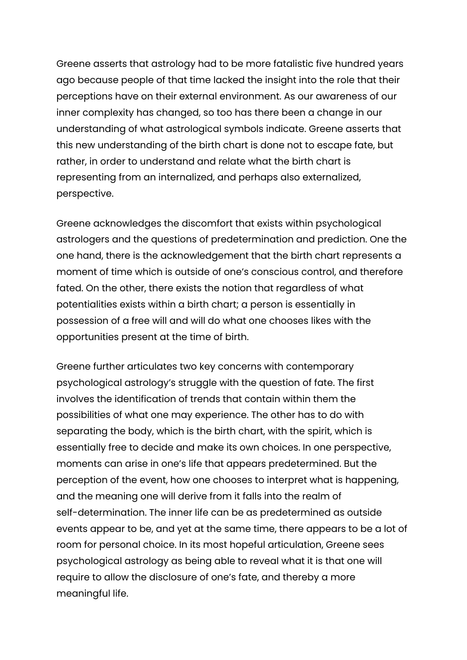Greene asserts that astrology had to be more fatalistic five hundred years ago because people of that time lacked the insight into the role that their perceptions have on their external environment. As our awareness of our inner complexity has changed, so too has there been a change in our understanding of what astrological symbols indicate. Greene asserts that this new understanding of the birth chart is done not to escape fate, but rather, in order to understand and relate what the birth chart is representing from an internalized, and perhaps also externalized, perspective.

Greene acknowledges the discomfort that exists within psychological astrologers and the questions of predetermination and prediction. One the one hand, there is the acknowledgement that the birth chart represents a moment of time which is outside of one's conscious control, and therefore fated. On the other, there exists the notion that regardless of what potentialities exists within a birth chart; a person is essentially in possession of a free will and will do what one chooses likes with the opportunities present at the time of birth.

Greene further articulates two key concerns with contemporary psychological astrology's struggle with the question of fate. The first involves the identification of trends that contain within them the possibilities of what one may experience. The other has to do with separating the body, which is the birth chart, with the spirit, which is essentially free to decide and make its own choices. In one perspective, moments can arise in one's life that appears predetermined. But the perception of the event, how one chooses to interpret what is happening, and the meaning one will derive from it falls into the realm of self-determination. The inner life can be as predetermined as outside events appear to be, and yet at the same time, there appears to be a lot of room for personal choice. In its most hopeful articulation, Greene sees psychological astrology as being able to reveal what it is that one will require to allow the disclosure of one's fate, and thereby a more meaningful life.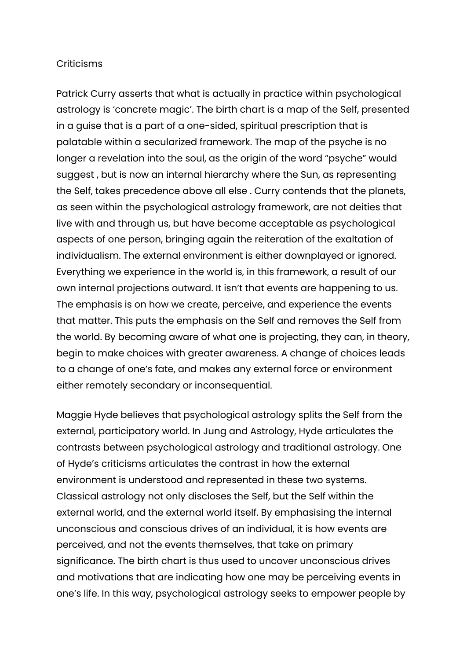## **Criticisms**

Patrick Curry asserts that what is actually in practice within psychological astrology is 'concrete magic'. The birth chart is a map of the Self, presented in a guise that is a part of a one-sided, spiritual prescription that is palatable within a secularized framework. The map of the psyche is no longer a revelation into the soul, as the origin of the word "psyche" would suggest , but is now an internal hierarchy where the Sun, as representing the Self, takes precedence above all else . Curry contends that the planets, as seen within the psychological astrology framework, are not deities that live with and through us, but have become acceptable as psychological aspects of one person, bringing again the reiteration of the exaltation of individualism. The external environment is either downplayed or ignored. Everything we experience in the world is, in this framework, a result of our own internal projections outward. It isn't that events are happening to us. The emphasis is on how we create, perceive, and experience the events that matter. This puts the emphasis on the Self and removes the Self from the world. By becoming aware of what one is projecting, they can, in theory, begin to make choices with greater awareness. A change of choices leads to a change of one's fate, and makes any external force or environment either remotely secondary or inconsequential.

Maggie Hyde believes that psychological astrology splits the Self from the external, participatory world. In Jung and Astrology, Hyde articulates the contrasts between psychological astrology and traditional astrology. One of Hyde's criticisms articulates the contrast in how the external environment is understood and represented in these two systems. Classical astrology not only discloses the Self, but the Self within the external world, and the external world itself. By emphasising the internal unconscious and conscious drives of an individual, it is how events are perceived, and not the events themselves, that take on primary significance. The birth chart is thus used to uncover unconscious drives and motivations that are indicating how one may be perceiving events in one's life. In this way, psychological astrology seeks to empower people by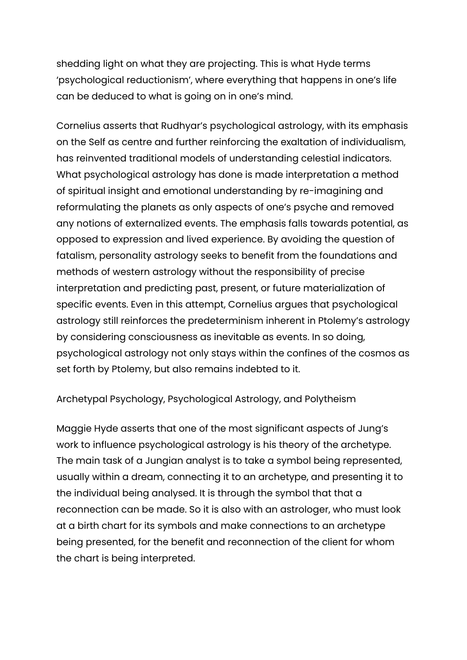shedding light on what they are projecting. This is what Hyde terms 'psychological reductionism', where everything that happens in one's life can be deduced to what is going on in one's mind.

Cornelius asserts that Rudhyar's psychological astrology, with its emphasis on the Self as centre and further reinforcing the exaltation of individualism, has reinvented traditional models of understanding celestial indicators. What psychological astrology has done is made interpretation a method of spiritual insight and emotional understanding by re-imagining and reformulating the planets as only aspects of one's psyche and removed any notions of externalized events. The emphasis falls towards potential, as opposed to expression and lived experience. By avoiding the question of fatalism, personality astrology seeks to benefit from the foundations and methods of western astrology without the responsibility of precise interpretation and predicting past, present, or future materialization of specific events. Even in this attempt, Cornelius argues that psychological astrology still reinforces the predeterminism inherent in Ptolemy's astrology by considering consciousness as inevitable as events. In so doing, psychological astrology not only stays within the confines of the cosmos as set forth by Ptolemy, but also remains indebted to it.

Archetypal Psychology, Psychological Astrology, and Polytheism

Maggie Hyde asserts that one of the most significant aspects of Jung's work to influence psychological astrology is his theory of the archetype. The main task of a Jungian analyst is to take a symbol being represented, usually within a dream, connecting it to an archetype, and presenting it to the individual being analysed. It is through the symbol that that a reconnection can be made. So it is also with an astrologer, who must look at a birth chart for its symbols and make connections to an archetype being presented, for the benefit and reconnection of the client for whom the chart is being interpreted.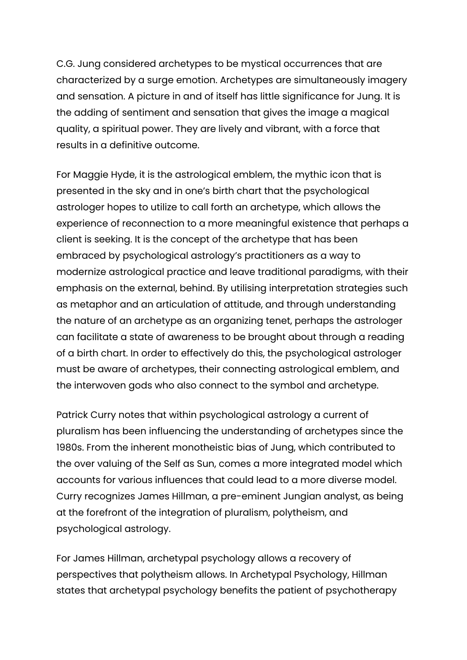C.G. Jung considered archetypes to be mystical occurrences that are characterized by a surge emotion. Archetypes are simultaneously imagery and sensation. A picture in and of itself has little significance for Jung. It is the adding of sentiment and sensation that gives the image a magical quality, a spiritual power. They are lively and vibrant, with a force that results in a definitive outcome.

For Maggie Hyde, it is the astrological emblem, the mythic icon that is presented in the sky and in one's birth chart that the psychological astrologer hopes to utilize to call forth an archetype, which allows the experience of reconnection to a more meaningful existence that perhaps a client is seeking. It is the concept of the archetype that has been embraced by psychological astrology's practitioners as a way to modernize astrological practice and leave traditional paradigms, with their emphasis on the external, behind. By utilising interpretation strategies such as metaphor and an articulation of attitude, and through understanding the nature of an archetype as an organizing tenet, perhaps the astrologer can facilitate a state of awareness to be brought about through a reading of a birth chart. In order to effectively do this, the psychological astrologer must be aware of archetypes, their connecting astrological emblem, and the interwoven gods who also connect to the symbol and archetype.

Patrick Curry notes that within psychological astrology a current of pluralism has been influencing the understanding of archetypes since the 1980s. From the inherent monotheistic bias of Jung, which contributed to the over valuing of the Self as Sun, comes a more integrated model which accounts for various influences that could lead to a more diverse model. Curry recognizes James Hillman, a pre-eminent Jungian analyst, as being at the forefront of the integration of pluralism, polytheism, and psychological astrology.

For James Hillman, archetypal psychology allows a recovery of perspectives that polytheism allows. In Archetypal Psychology, Hillman states that archetypal psychology benefits the patient of psychotherapy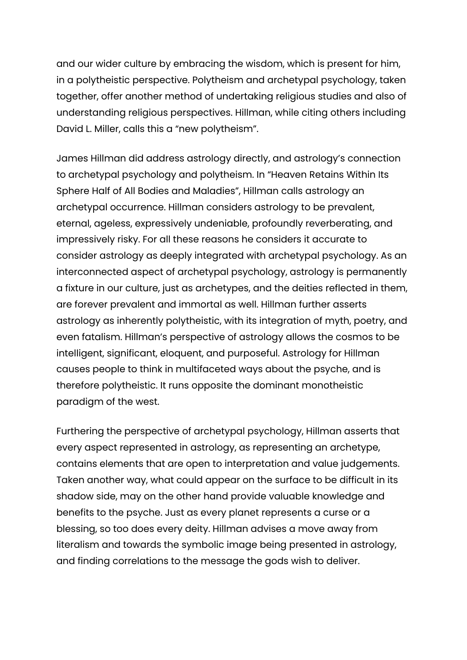and our wider culture by embracing the wisdom, which is present for him, in a polytheistic perspective. Polytheism and archetypal psychology, taken together, offer another method of undertaking religious studies and also of understanding religious perspectives. Hillman, while citing others including David L. Miller, calls this a "new polytheism".

James Hillman did address astrology directly, and astrology's connection to archetypal psychology and polytheism. In "Heaven Retains Within Its Sphere Half of All Bodies and Maladies", Hillman calls astrology an archetypal occurrence. Hillman considers astrology to be prevalent, eternal, ageless, expressively undeniable, profoundly reverberating, and impressively risky. For all these reasons he considers it accurate to consider astrology as deeply integrated with archetypal psychology. As an interconnected aspect of archetypal psychology, astrology is permanently a fixture in our culture, just as archetypes, and the deities reflected in them, are forever prevalent and immortal as well. Hillman further asserts astrology as inherently polytheistic, with its integration of myth, poetry, and even fatalism. Hillman's perspective of astrology allows the cosmos to be intelligent, significant, eloquent, and purposeful. Astrology for Hillman causes people to think in multifaceted ways about the psyche, and is therefore polytheistic. It runs opposite the dominant monotheistic paradigm of the west.

Furthering the perspective of archetypal psychology, Hillman asserts that every aspect represented in astrology, as representing an archetype, contains elements that are open to interpretation and value judgements. Taken another way, what could appear on the surface to be difficult in its shadow side, may on the other hand provide valuable knowledge and benefits to the psyche. Just as every planet represents a curse or a blessing, so too does every deity. Hillman advises a move away from literalism and towards the symbolic image being presented in astrology, and finding correlations to the message the gods wish to deliver.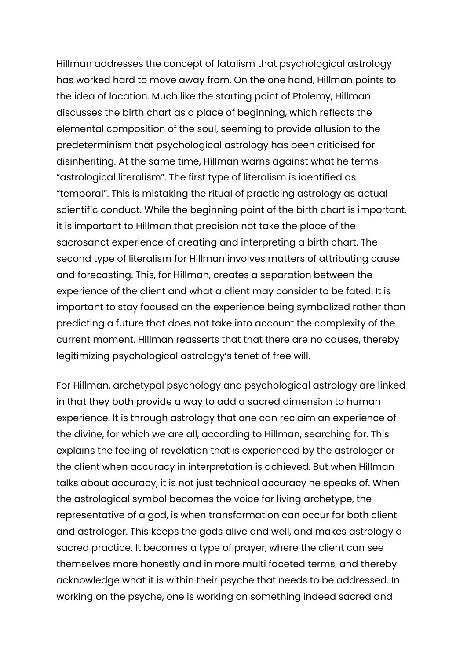Hillman addresses the concept of fatalism that psychological astrology has worked hard to move away from. On the one hand, Hillman points to the idea of location. Much like the starting point of Ptolemy, Hillman discusses the birth chart as a place of beginning, which reflects the elemental composition of the soul, seeming to provide allusion to the predeterminism that psychological astrology has been criticised for disinheriting. At the same time, Hillman warns against what he terms "astrological literalism". The first type of literalism is identified as "temporal". This is mistaking the ritual of practicing astrology as actual scientific conduct. While the beginning point of the birth chart is important, it is important to Hillman that precision not take the place of the sacrosanct experience of creating and interpreting a birth chart. The second type of literalism for Hillman involves matters of attributing cause and forecasting. This, for Hillman, creates a separation between the experience of the client and what a client may consider to be fated. It is important to stay focused on the experience being symbolized rather than predicting a future that does not take into account the complexity of the current moment. Hillman reasserts that that there are no causes, thereby legitimizing psychological astrology's tenet of free will.

For Hillman, archetypal psychology and psychological astrology are linked in that they both provide a way to add a sacred dimension to human experience. It is through astrology that one can reclaim an experience of the divine, for which we are all, according to Hillman, searching for. This explains the feeling of revelation that is experienced by the astrologer or the client when accuracy in interpretation is achieved. But when Hillman talks about accuracy, it is not just technical accuracy he speaks of. When the astrological symbol becomes the voice for living archetype, the representative of a god, is when transformation can occur for both client and astrologer. This keeps the gods alive and well, and makes astrology a sacred practice. It becomes a type of prayer, where the client can see themselves more honestly and in more multi faceted terms, and thereby acknowledge what it is within their psyche that needs to be addressed. In working on the psyche, one is working on something indeed sacred and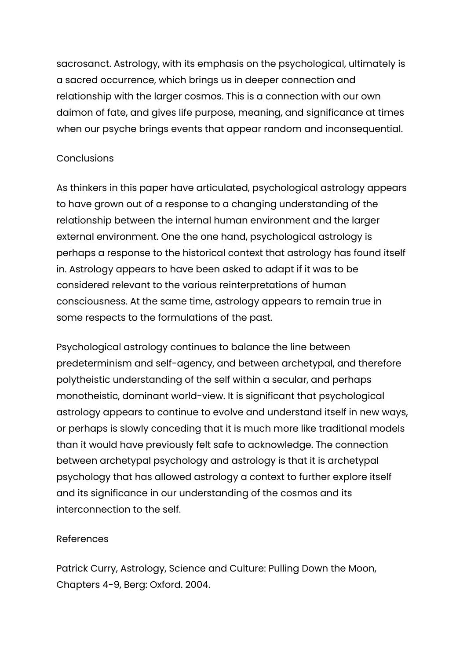sacrosanct. Astrology, with its emphasis on the psychological, ultimately is a sacred occurrence, which brings us in deeper connection and relationship with the larger cosmos. This is a connection with our own daimon of fate, and gives life purpose, meaning, and significance at times when our psyche brings events that appear random and inconsequential.

## **Conclusions**

As thinkers in this paper have articulated, psychological astrology appears to have grown out of a response to a changing understanding of the relationship between the internal human environment and the larger external environment. One the one hand, psychological astrology is perhaps a response to the historical context that astrology has found itself in. Astrology appears to have been asked to adapt if it was to be considered relevant to the various reinterpretations of human consciousness. At the same time, astrology appears to remain true in some respects to the formulations of the past.

Psychological astrology continues to balance the line between predeterminism and self-agency, and between archetypal, and therefore polytheistic understanding of the self within a secular, and perhaps monotheistic, dominant world-view. It is significant that psychological astrology appears to continue to evolve and understand itself in new ways, or perhaps is slowly conceding that it is much more like traditional models than it would have previously felt safe to acknowledge. The connection between archetypal psychology and astrology is that it is archetypal psychology that has allowed astrology a context to further explore itself and its significance in our understanding of the cosmos and its interconnection to the self.

## References

Patrick Curry, Astrology, Science and Culture: Pulling Down the Moon, Chapters 4-9, Berg: Oxford. 2004.